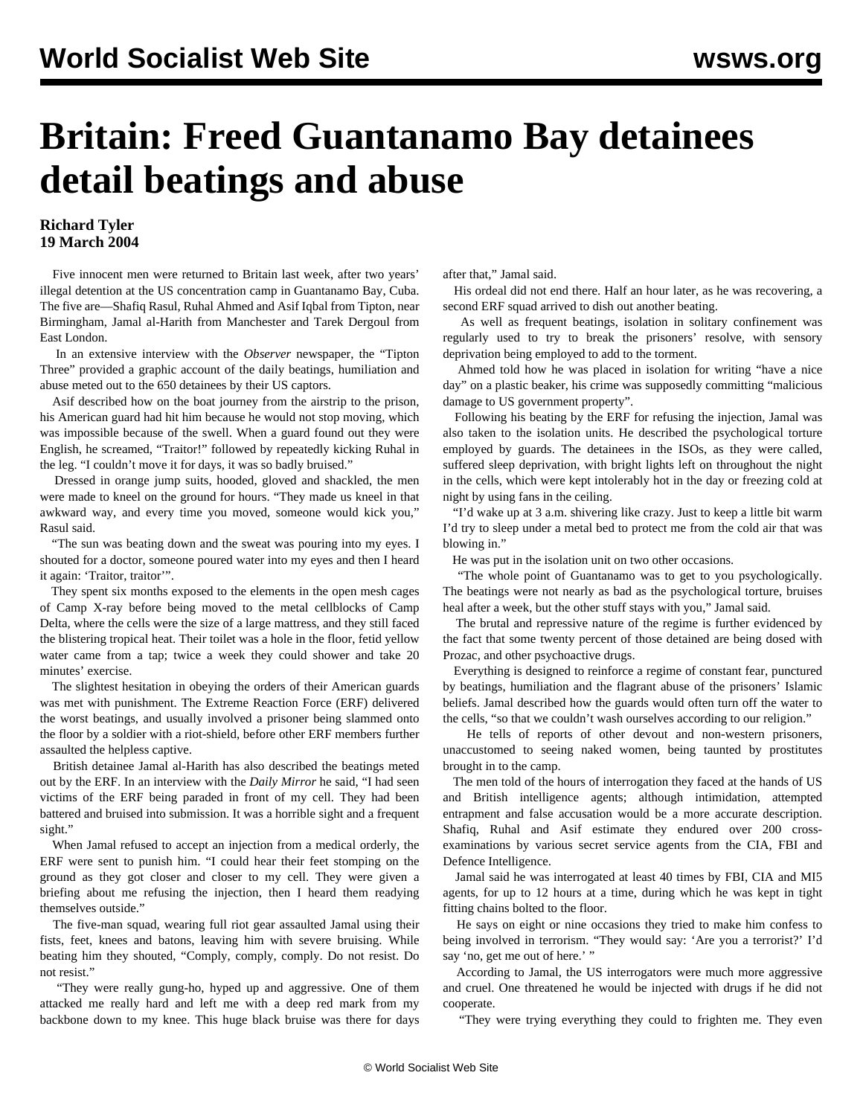## **Britain: Freed Guantanamo Bay detainees detail beatings and abuse**

## **Richard Tyler 19 March 2004**

 Five innocent men were returned to Britain last week, after two years' illegal detention at the US concentration camp in Guantanamo Bay, Cuba. The five are—Shafiq Rasul, Ruhal Ahmed and Asif Iqbal from Tipton, near Birmingham, Jamal al-Harith from Manchester and Tarek Dergoul from East London.

 In an extensive interview with the *Observer* newspaper, the "Tipton Three" provided a graphic account of the daily beatings, humiliation and abuse meted out to the 650 detainees by their US captors.

 Asif described how on the boat journey from the airstrip to the prison, his American guard had hit him because he would not stop moving, which was impossible because of the swell. When a guard found out they were English, he screamed, "Traitor!" followed by repeatedly kicking Ruhal in the leg. "I couldn't move it for days, it was so badly bruised."

 Dressed in orange jump suits, hooded, gloved and shackled, the men were made to kneel on the ground for hours. "They made us kneel in that awkward way, and every time you moved, someone would kick you," Rasul said.

 "The sun was beating down and the sweat was pouring into my eyes. I shouted for a doctor, someone poured water into my eyes and then I heard it again: 'Traitor, traitor'".

 They spent six months exposed to the elements in the open mesh cages of Camp X-ray before being moved to the metal cellblocks of Camp Delta, where the cells were the size of a large mattress, and they still faced the blistering tropical heat. Their toilet was a hole in the floor, fetid yellow water came from a tap; twice a week they could shower and take 20 minutes' exercise.

 The slightest hesitation in obeying the orders of their American guards was met with punishment. The Extreme Reaction Force (ERF) delivered the worst beatings, and usually involved a prisoner being slammed onto the floor by a soldier with a riot-shield, before other ERF members further assaulted the helpless captive.

 British detainee Jamal al-Harith has also described the beatings meted out by the ERF. In an interview with the *Daily Mirror* he said, "I had seen victims of the ERF being paraded in front of my cell. They had been battered and bruised into submission. It was a horrible sight and a frequent sight."

 When Jamal refused to accept an injection from a medical orderly, the ERF were sent to punish him. "I could hear their feet stomping on the ground as they got closer and closer to my cell. They were given a briefing about me refusing the injection, then I heard them readying themselves outside."

 The five-man squad, wearing full riot gear assaulted Jamal using their fists, feet, knees and batons, leaving him with severe bruising. While beating him they shouted, "Comply, comply, comply. Do not resist. Do not resist."

 "They were really gung-ho, hyped up and aggressive. One of them attacked me really hard and left me with a deep red mark from my backbone down to my knee. This huge black bruise was there for days after that," Jamal said.

 His ordeal did not end there. Half an hour later, as he was recovering, a second ERF squad arrived to dish out another beating.

 As well as frequent beatings, isolation in solitary confinement was regularly used to try to break the prisoners' resolve, with sensory deprivation being employed to add to the torment.

 Ahmed told how he was placed in isolation for writing "have a nice day" on a plastic beaker, his crime was supposedly committing "malicious damage to US government property".

 Following his beating by the ERF for refusing the injection, Jamal was also taken to the isolation units. He described the psychological torture employed by guards. The detainees in the ISOs, as they were called, suffered sleep deprivation, with bright lights left on throughout the night in the cells, which were kept intolerably hot in the day or freezing cold at night by using fans in the ceiling.

 "I'd wake up at 3 a.m. shivering like crazy. Just to keep a little bit warm I'd try to sleep under a metal bed to protect me from the cold air that was blowing in."

He was put in the isolation unit on two other occasions.

 "The whole point of Guantanamo was to get to you psychologically. The beatings were not nearly as bad as the psychological torture, bruises heal after a week, but the other stuff stays with you," Jamal said.

 The brutal and repressive nature of the regime is further evidenced by the fact that some twenty percent of those detained are being dosed with Prozac, and other psychoactive drugs.

 Everything is designed to reinforce a regime of constant fear, punctured by beatings, humiliation and the flagrant abuse of the prisoners' Islamic beliefs. Jamal described how the guards would often turn off the water to the cells, "so that we couldn't wash ourselves according to our religion."

 He tells of reports of other devout and non-western prisoners, unaccustomed to seeing naked women, being taunted by prostitutes brought in to the camp.

 The men told of the hours of interrogation they faced at the hands of US and British intelligence agents; although intimidation, attempted entrapment and false accusation would be a more accurate description. Shafiq, Ruhal and Asif estimate they endured over 200 crossexaminations by various secret service agents from the CIA, FBI and Defence Intelligence.

 Jamal said he was interrogated at least 40 times by FBI, CIA and MI5 agents, for up to 12 hours at a time, during which he was kept in tight fitting chains bolted to the floor.

 He says on eight or nine occasions they tried to make him confess to being involved in terrorism. "They would say: 'Are you a terrorist?' I'd say 'no, get me out of here.' "

 According to Jamal, the US interrogators were much more aggressive and cruel. One threatened he would be injected with drugs if he did not cooperate.

"They were trying everything they could to frighten me. They even